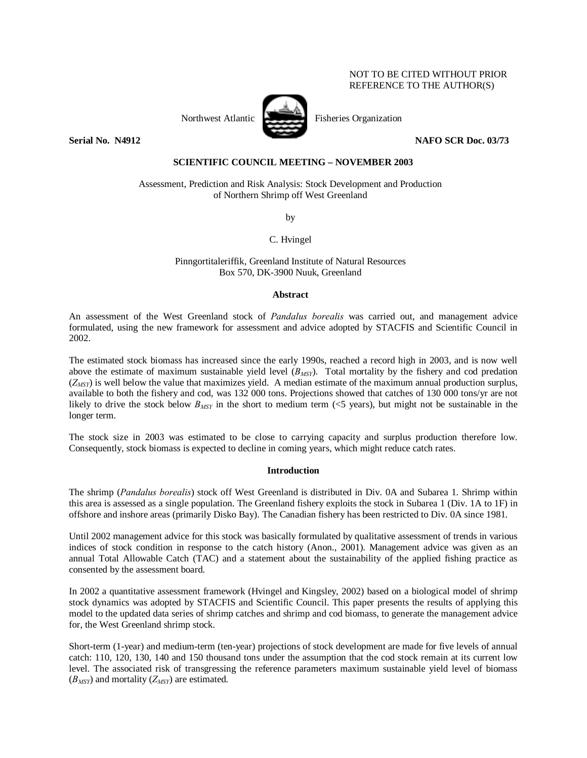## NOT TO BE CITED WITHOUT PRIOR REFERENCE TO THE AUTHOR(S)



Northwest Atlantic **Fisheries** Creanization

**Serial No. N4912 NAFO SCR Doc. 03/73** 

# **SCIENTIFIC COUNCIL MEETING – NOVEMBER 2003**

Assessment, Prediction and Risk Analysis: Stock Development and Production of Northern Shrimp off West Greenland

by

C. Hvingel

Pinngortitaleriffik, Greenland Institute of Natural Resources Box 570, DK-3900 Nuuk, Greenland

### **Abstract**

An assessment of the West Greenland stock of *Pandalus borealis* was carried out, and management advice formulated, using the new framework for assessment and advice adopted by STACFIS and Scientific Council in 2002.

The estimated stock biomass has increased since the early 1990s, reached a record high in 2003, and is now well above the estimate of maximum sustainable yield level (*BMSY*). Total mortality by the fishery and cod predation  $(Z_{MST})$  is well below the value that maximizes yield. A median estimate of the maximum annual production surplus, available to both the fishery and cod, was 132 000 tons. Projections showed that catches of 130 000 tons/yr are not likely to drive the stock below  $B_{MSY}$  in the short to medium term (<5 years), but might not be sustainable in the longer term.

The stock size in 2003 was estimated to be close to carrying capacity and surplus production therefore low. Consequently, stock biomass is expected to decline in coming years, which might reduce catch rates.

## **Introduction**

The shrimp (*Pandalus borealis*) stock off West Greenland is distributed in Div. 0A and Subarea 1. Shrimp within this area is assessed as a single population. The Greenland fishery exploits the stock in Subarea 1 (Div. 1A to 1F) in offshore and inshore areas (primarily Disko Bay). The Canadian fishery has been restricted to Div. 0A since 1981.

Until 2002 management advice for this stock was basically formulated by qualitative assessment of trends in various indices of stock condition in response to the catch history (Anon., 2001). Management advice was given as an annual Total Allowable Catch (TAC) and a statement about the sustainability of the applied fishing practice as consented by the assessment board.

In 2002 a quantitative assessment framework (Hvingel and Kingsley, 2002) based on a biological model of shrimp stock dynamics was adopted by STACFIS and Scientific Council. This paper presents the results of applying this model to the updated data series of shrimp catches and shrimp and cod biomass, to generate the management advice for, the West Greenland shrimp stock.

Short-term (1-year) and medium-term (ten-year) projections of stock development are made for five levels of annual catch: 110, 120, 130, 140 and 150 thousand tons under the assumption that the cod stock remain at its current low level. The associated risk of transgressing the reference parameters maximum sustainable yield level of biomass  $(B_{MSY})$  and mortality  $(Z_{MSY})$  are estimated.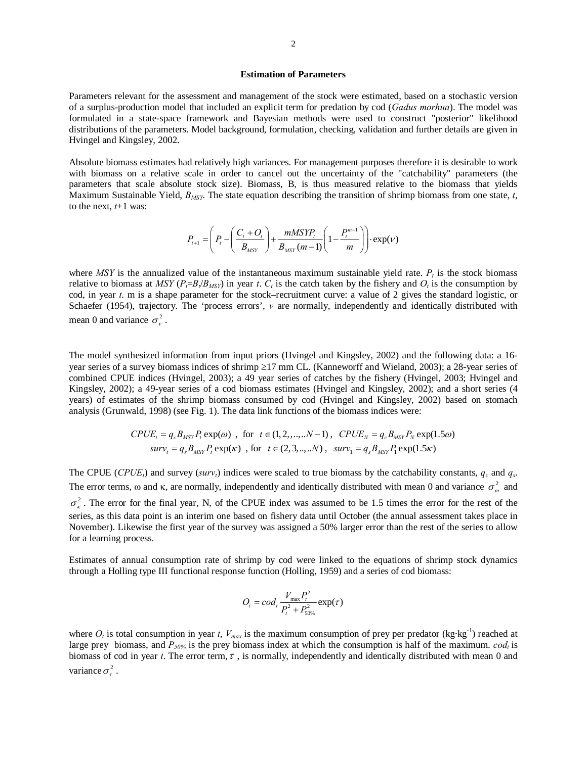## **Estimation of Parameters**

Parameters relevant for the assessment and management of the stock were estimated, based on a stochastic version of a surplus-production model that included an explicit term for predation by cod (*Gadus morhua*). The model was formulated in a state-space framework and Bayesian methods were used to construct "posterior" likelihood distributions of the parameters. Model background, formulation, checking, validation and further details are given in Hvingel and Kingsley, 2002.

Absolute biomass estimates had relatively high variances. For management purposes therefore it is desirable to work with biomass on a relative scale in order to cancel out the uncertainty of the "catchability" parameters (the parameters that scale absolute stock size). Biomass, B, is thus measured relative to the biomass that yields Maximum Sustainable Yield,  $B_{MSY}$ . The state equation describing the transition of shrimp biomass from one state, *t*, to the next,  $t+1$  was:

$$
P_{t+1} = \left(P_t - \left(\frac{C_t + O_t}{B_{MST}}\right) + \frac{mMSYP_t}{B_{MST}(m-1)} \left(1 - \frac{P_t^{m-1}}{m}\right)\right) \cdot \exp(V)
$$

where *MSY* is the annualized value of the instantaneous maximum sustainable yield rate.  $P_t$  is the stock biomass relative to biomass at *MSY* ( $P_f = B_t / B_{MSY}$ ) in year *t*.  $C_t$  is the catch taken by the fishery and  $O_t$  is the consumption by cod, in year *t*. m is a shape parameter for the stock–recruitment curve: a value of 2 gives the standard logistic, or Schaefer (1954), trajectory. The 'process errors', *v* are normally, independently and identically distributed with mean 0 and variance  $\sigma_v^2$ .

The model synthesized information from input priors (Hvingel and Kingsley, 2002) and the following data: a 16 year series of a survey biomass indices of shrimp ≥17 mm CL. (Kanneworff and Wieland, 2003); a 28-year series of combined CPUE indices (Hvingel, 2003); a 49 year series of catches by the fishery (Hvingel, 2003; Hvingel and Kingsley, 2002); a 49-year series of a cod biomass estimates (Hvingel and Kingsley, 2002); and a short series (4 years) of estimates of the shrimp biomass consumed by cod (Hvingel and Kingsley, 2002) based on stomach analysis (Grunwald, 1998) (see Fig. 1). The data link functions of the biomass indices were:

$$
CPUE_t = q_c B_{MSY} P_t \exp(\omega) , \text{ for } t \in (1, 2, ..., N-1), CPUE_N = q_c B_{MSY} P_N \exp(1.5\omega)
$$
  

$$
surv_t = q_s B_{MSY} P_t \exp(\kappa) , \text{ for } t \in (2, 3, ..., N), surv_1 = q_s B_{MSY} P_t \exp(1.5\kappa)
$$

The CPUE (*CPUE<sub>t</sub>*) and survey (*surv<sub>t</sub>*) indices were scaled to true biomass by the catchability constants,  $q_c$  and  $q_s$ . The error terms, ω and κ, are normally, independently and identically distributed with mean 0 and variance  $\sigma_{\phi}^2$  and  $\sigma_r^2$ . The error for the final year, N, of the CPUE index was assumed to be 1.5 times the error for the rest of the series, as this data point is an interim one based on fishery data until October (the annual assessment takes place in November). Likewise the first year of the survey was assigned a 50% larger error than the rest of the series to allow for a learning process.

Estimates of annual consumption rate of shrimp by cod were linked to the equations of shrimp stock dynamics through a Holling type III functional response function (Holling, 1959) and a series of cod biomass:

$$
O_t = cod_t \frac{V_{\text{max}} P_t^2}{P_t^2 + P_{50\%}^2} \exp(\tau)
$$

where  $O_t$  is total consumption in year *t*,  $V_{max}$  is the maximum consumption of prey per predator (kg·kg<sup>-1</sup>) reached at large prey biomass, and  $P_{50\%}$  is the prey biomass index at which the consumption is half of the maximum. *cod<sub>t</sub>* is biomass of cod in year *t*. The error term,  $\tau$ , is normally, independently and identically distributed with mean 0 and variance  $\sigma^2$ .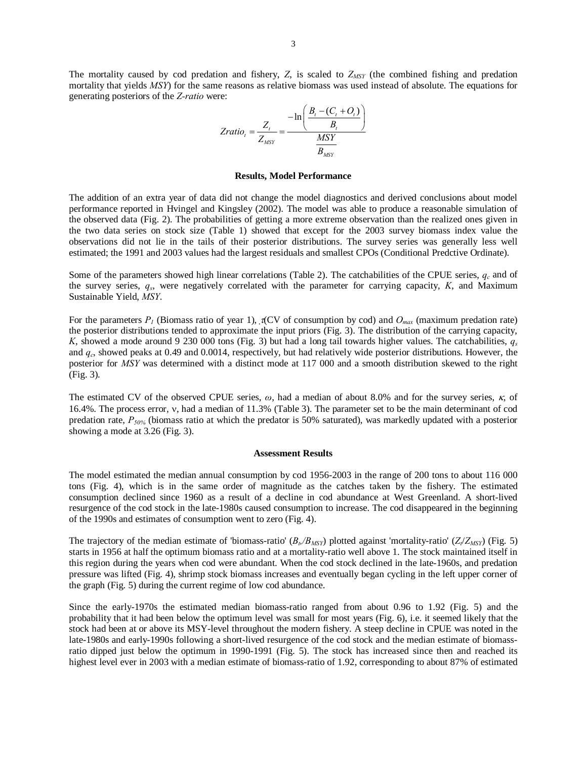The mortality caused by cod predation and fishery,  $Z$ , is scaled to  $Z_{MSY}$  (the combined fishing and predation mortality that yields *MSY*) for the same reasons as relative biomass was used instead of absolute. The equations for generating posteriors of the *Z-ratio* were:

$$
Zratio_t = \frac{Z_t}{Z_{MSY}} = \frac{-\ln\left(\frac{B_t - (C_t + O_t)}{B_t}\right)}{\frac{MSY}{B_{MSY}}}
$$

#### **Results, Model Performance**

The addition of an extra year of data did not change the model diagnostics and derived conclusions about model performance reported in Hvingel and Kingsley (2002). The model was able to produce a reasonable simulation of the observed data (Fig. 2). The probabilities of getting a more extreme observation than the realized ones given in the two data series on stock size (Table 1) showed that except for the 2003 survey biomass index value the observations did not lie in the tails of their posterior distributions. The survey series was generally less well estimated; the 1991 and 2003 values had the largest residuals and smallest CPOs (Conditional Predctive Ordinate).

Some of the parameters showed high linear correlations (Table 2). The catchabilities of the CPUE series,  $q_c$  and of the survey series, *qs*, were negatively correlated with the parameter for carrying capacity, *K*, and Maximum Sustainable Yield, *MSY*.

For the parameters  $P_l$  (Biomass ratio of year 1),  $\tau$ (CV of consumption by cod) and  $O_{max}$  (maximum predation rate) the posterior distributions tended to approximate the input priors (Fig. 3). The distribution of the carrying capacity, *K*, showed a mode around 9 230 000 tons (Fig. 3) but had a long tail towards higher values. The catchabilities, *qs* and *qc*, showed peaks at 0.49 and 0.0014, respectively, but had relatively wide posterior distributions. However, the posterior for *MSY* was determined with a distinct mode at 117 000 and a smooth distribution skewed to the right (Fig. 3).

The estimated CV of the observed CPUE series, *ω*, had a median of about 8.0% and for the survey series, κ, of 16.4%. The process error, ν, had a median of 11.3% (Table 3). The parameter set to be the main determinant of cod predation rate, *P50%* (biomass ratio at which the predator is 50% saturated), was markedly updated with a posterior showing a mode at 3.26 (Fig. 3).

#### **Assessment Results**

The model estimated the median annual consumption by cod 1956-2003 in the range of 200 tons to about 116 000 tons (Fig. 4), which is in the same order of magnitude as the catches taken by the fishery. The estimated consumption declined since 1960 as a result of a decline in cod abundance at West Greenland. A short-lived resurgence of the cod stock in the late-1980s caused consumption to increase. The cod disappeared in the beginning of the 1990s and estimates of consumption went to zero (Fig. 4).

The trajectory of the median estimate of 'biomass-ratio'  $(B_b/B_{MSY})$  plotted against 'mortality-ratio'  $(Z_t/Z_{MSY})$  (Fig. 5) starts in 1956 at half the optimum biomass ratio and at a mortality-ratio well above 1. The stock maintained itself in this region during the years when cod were abundant. When the cod stock declined in the late-1960s, and predation pressure was lifted (Fig. 4), shrimp stock biomass increases and eventually began cycling in the left upper corner of the graph (Fig. 5) during the current regime of low cod abundance.

Since the early-1970s the estimated median biomass-ratio ranged from about 0.96 to 1.92 (Fig. 5) and the probability that it had been below the optimum level was small for most years (Fig. 6), i.e. it seemed likely that the stock had been at or above its MSY-level throughout the modern fishery. A steep decline in CPUE was noted in the late-1980s and early-1990s following a short-lived resurgence of the cod stock and the median estimate of biomassratio dipped just below the optimum in 1990-1991 (Fig. 5). The stock has increased since then and reached its highest level ever in 2003 with a median estimate of biomass-ratio of 1.92, corresponding to about 87% of estimated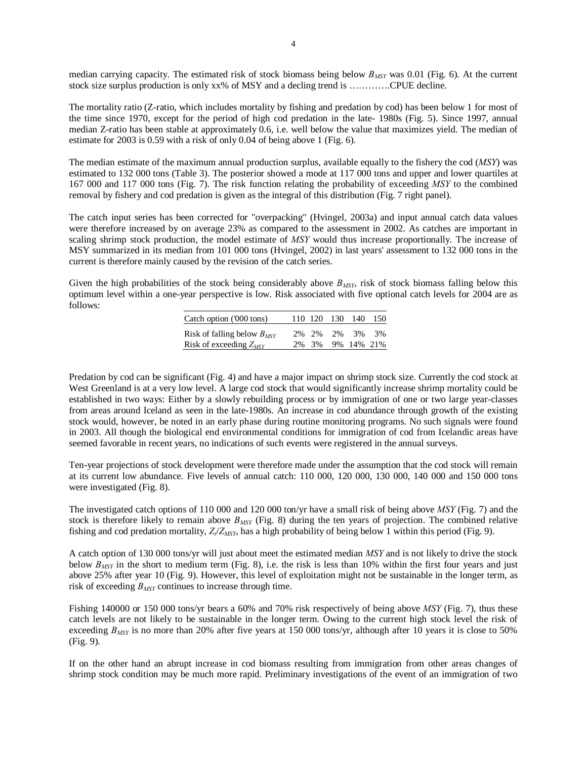median carrying capacity. The estimated risk of stock biomass being below  $B_{MSY}$  was 0.01 (Fig. 6). At the current stock size surplus production is only xx% of MSY and a decling trend is ………….CPUE decline.

The mortality ratio (Z-ratio, which includes mortality by fishing and predation by cod) has been below 1 for most of the time since 1970, except for the period of high cod predation in the late- 1980s (Fig. 5). Since 1997, annual median Z-ratio has been stable at approximately 0.6, i.e. well below the value that maximizes yield. The median of estimate for 2003 is 0.59 with a risk of only 0.04 of being above 1 (Fig. 6).

The median estimate of the maximum annual production surplus, available equally to the fishery the cod (*MSY*) was estimated to 132 000 tons (Table 3). The posterior showed a mode at 117 000 tons and upper and lower quartiles at 167 000 and 117 000 tons (Fig. 7). The risk function relating the probability of exceeding *MSY* to the combined removal by fishery and cod predation is given as the integral of this distribution (Fig. 7 right panel).

The catch input series has been corrected for "overpacking" (Hvingel, 2003a) and input annual catch data values were therefore increased by on average 23% as compared to the assessment in 2002. As catches are important in scaling shrimp stock production, the model estimate of *MSY* would thus increase proportionally. The increase of MSY summarized in its median from 101 000 tons (Hvingel, 2002) in last years' assessment to 132 000 tons in the current is therefore mainly caused by the revision of the catch series.

Given the high probabilities of the stock being considerably above  $B_{MSY}$ , risk of stock biomass falling below this optimum level within a one-year perspective is low. Risk associated with five optional catch levels for 2004 are as follows:

| Catch option ('000 tons)        |  | 110 120 130 140  | 150 |
|---------------------------------|--|------------------|-----|
| Risk of falling below $B_{MSY}$ |  | 2\% 2\% 2\% 3\%  | 3%  |
| Risk of exceeding $Z_{MSY}$     |  | 2% 3% 9% 14% 21% |     |

Predation by cod can be significant (Fig. 4) and have a major impact on shrimp stock size. Currently the cod stock at West Greenland is at a very low level. A large cod stock that would significantly increase shrimp mortality could be established in two ways: Either by a slowly rebuilding process or by immigration of one or two large year-classes from areas around Iceland as seen in the late-1980s. An increase in cod abundance through growth of the existing stock would, however, be noted in an early phase during routine monitoring programs. No such signals were found in 2003. All though the biological end environmental conditions for immigration of cod from Icelandic areas have seemed favorable in recent years, no indications of such events were registered in the annual surveys.

Ten-year projections of stock development were therefore made under the assumption that the cod stock will remain at its current low abundance. Five levels of annual catch: 110 000, 120 000, 130 000, 140 000 and 150 000 tons were investigated (Fig. 8).

The investigated catch options of 110 000 and 120 000 ton/yr have a small risk of being above *MSY* (Fig. 7) and the stock is therefore likely to remain above *BMSY* (Fig. 8) during the ten years of projection. The combined relative fishing and cod predation mortality,  $Z_t/Z_{MSY}$ , has a high probability of being below 1 within this period (Fig. 9).

A catch option of 130 000 tons/yr will just about meet the estimated median *MSY* and is not likely to drive the stock below  $B_{MSY}$  in the short to medium term (Fig. 8), i.e. the risk is less than 10% within the first four years and just above 25% after year 10 (Fig. 9). However, this level of exploitation might not be sustainable in the longer term, as risk of exceeding *BMSY* continues to increase through time.

Fishing 140000 or 150 000 tons/yr bears a 60% and 70% risk respectively of being above *MSY* (Fig. 7), thus these catch levels are not likely to be sustainable in the longer term. Owing to the current high stock level the risk of exceeding *B<sub>MSY</sub>* is no more than 20% after five years at 150 000 tons/yr, although after 10 years it is close to 50% (Fig. 9).

If on the other hand an abrupt increase in cod biomass resulting from immigration from other areas changes of shrimp stock condition may be much more rapid. Preliminary investigations of the event of an immigration of two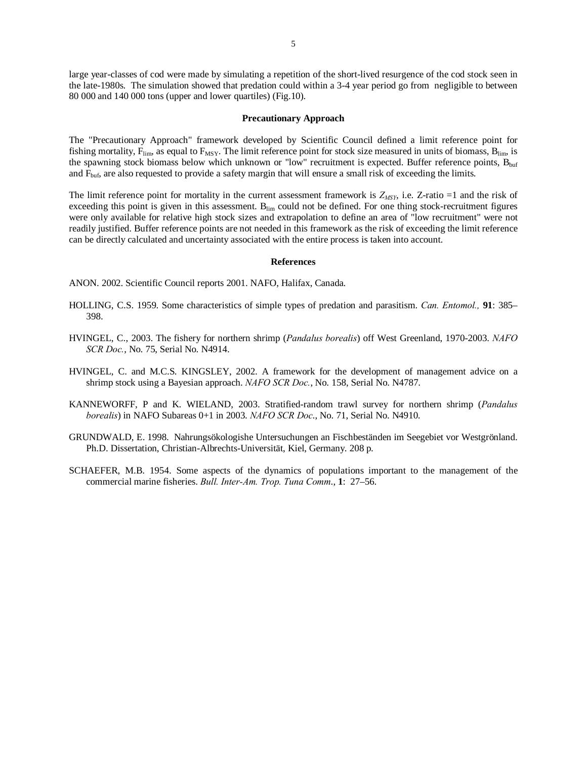large year-classes of cod were made by simulating a repetition of the short-lived resurgence of the cod stock seen in the late-1980s. The simulation showed that predation could within a 3-4 year period go from negligible to between 80 000 and 140 000 tons (upper and lower quartiles) (Fig.10).

#### **Precautionary Approach**

The "Precautionary Approach" framework developed by Scientific Council defined a limit reference point for fishing mortality,  $F_{\text{lim}}$ , as equal to  $F_{\text{MSY}}$ . The limit reference point for stock size measured in units of biomass,  $B_{\text{lim}}$ , is the spawning stock biomass below which unknown or "low" recruitment is expected. Buffer reference points, Bbuf and F<sub>buf</sub>, are also requested to provide a safety margin that will ensure a small risk of exceeding the limits.

The limit reference point for mortality in the current assessment framework is  $Z_{MSY}$ , i.e. Z-ratio =1 and the risk of exceeding this point is given in this assessment.  $B_{\text{lim}}$  could not be defined. For one thing stock-recruitment figures were only available for relative high stock sizes and extrapolation to define an area of "low recruitment" were not readily justified. Buffer reference points are not needed in this framework as the risk of exceeding the limit reference can be directly calculated and uncertainty associated with the entire process is taken into account.

#### **References**

ANON. 2002. Scientific Council reports 2001. NAFO, Halifax, Canada.

- HOLLING, C.S. 1959. Some characteristics of simple types of predation and parasitism. *Can. Entomol.,* **91**: 385– 398.
- HVINGEL, C., 2003. The fishery for northern shrimp (*Pandalus borealis*) off West Greenland, 1970-2003. *NAFO SCR Doc.*, No. 75, Serial No. N4914.
- HVINGEL, C. and M.C.S. KINGSLEY, 2002. A framework for the development of management advice on a shrimp stock using a Bayesian approach. *NAFO SCR Doc.*, No. 158, Serial No. N4787.
- KANNEWORFF, P and K. WIELAND, 2003. Stratified-random trawl survey for northern shrimp (*Pandalus borealis*) in NAFO Subareas 0+1 in 2003. *NAFO SCR Doc*., No. 71, Serial No. N4910.
- GRUNDWALD, E. 1998. Nahrungsökologishe Untersuchungen an Fischbeständen im Seegebiet vor Westgrönland. Ph.D. Dissertation, Christian-Albrechts-Universität, Kiel, Germany. 208 p.
- SCHAEFER, M.B. 1954. Some aspects of the dynamics of populations important to the management of the commercial marine fisheries. *Bull. Inter-Am. Trop. Tuna Comm*., **1**: 27–56.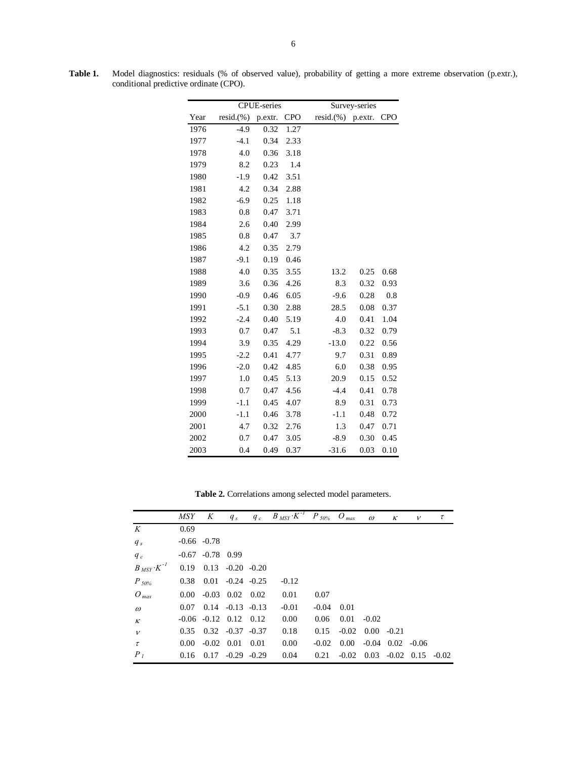|      | <b>CPUE-series</b> | Survey-series |            |                   |      |            |
|------|--------------------|---------------|------------|-------------------|------|------------|
| Year | $resid.$ (%)       | p.extr.       | <b>CPO</b> | resid.(%) p.extr. |      | <b>CPO</b> |
| 1976 | $-4.9$             | 0.32          | 1.27       |                   |      |            |
| 1977 | $-4.1$             | 0.34          | 2.33       |                   |      |            |
| 1978 | 4.0                | 0.36          | 3.18       |                   |      |            |
| 1979 | 8.2                | 0.23          | 1.4        |                   |      |            |
| 1980 | $-1.9$             | 0.42          | 3.51       |                   |      |            |
| 1981 | 4.2                | 0.34          | 2.88       |                   |      |            |
| 1982 | $-6.9$             | 0.25          | 1.18       |                   |      |            |
| 1983 | 0.8                | 0.47          | 3.71       |                   |      |            |
| 1984 | 2.6                | 0.40          | 2.99       |                   |      |            |
| 1985 | 0.8                | 0.47          | 3.7        |                   |      |            |
| 1986 | 4.2                | 0.35          | 2.79       |                   |      |            |
| 1987 | $-9.1$             | 0.19          | 0.46       |                   |      |            |
| 1988 | 4.0                | 0.35          | 3.55       | 13.2              | 0.25 | 0.68       |
| 1989 | 3.6                | 0.36          | 4.26       | 8.3               | 0.32 | 0.93       |
| 1990 | $-0.9$             | 0.46          | 6.05       | $-9.6$            | 0.28 | 0.8        |
| 1991 | $-5.1$             | 0.30          | 2.88       | 28.5              | 0.08 | 0.37       |
| 1992 | $-2.4$             | 0.40          | 5.19       | 4.0               | 0.41 | 1.04       |
| 1993 | 0.7                | 0.47          | 5.1        | $-8.3$            | 0.32 | 0.79       |
| 1994 | 3.9                | 0.35          | 4.29       | $-13.0$           | 0.22 | 0.56       |
| 1995 | $-2.2$             | 0.41          | 4.77       | 9.7               | 0.31 | 0.89       |
| 1996 | $-2.0$             | 0.42          | 4.85       | 6.0               | 0.38 | 0.95       |
| 1997 | 1.0                | 0.45          | 5.13       | 20.9              | 0.15 | 0.52       |
| 1998 | 0.7                | 0.47          | 4.56       | $-4.4$            | 0.41 | 0.78       |
| 1999 | $-1.1$             | 0.45          | 4.07       | 8.9               | 0.31 | 0.73       |
| 2000 | $-1.1$             | 0.46          | 3.78       | $-1.1$            | 0.48 | 0.72       |
| 2001 | 4.7                | 0.32          | 2.76       | 1.3               | 0.47 | 0.71       |
| 2002 | 0.7                | 0.47          | 3.05       | $-8.9$            | 0.30 | 0.45       |
| 2003 | 0.4                | 0.49          | 0.37       | $-31.6$           | 0.03 | 0.10       |

**Table 1.** Model diagnostics: residuals (% of observed value), probability of getting a more extreme observation (p.extr.), conditional predictive ordinate (CPO).

**Table 2.** Correlations among selected model parameters.

|                          | MSY                           | K                    |                               | $q_s$ $q_c$ $B_{MSY}K^{-1}$ $P_{50\%}$ $O_{max}$ |         |          | $\omega$                        | $\kappa$ | $\mathcal{V}$ | τ |
|--------------------------|-------------------------------|----------------------|-------------------------------|--------------------------------------------------|---------|----------|---------------------------------|----------|---------------|---|
| K                        | 0.69                          |                      |                               |                                                  |         |          |                                 |          |               |   |
| $q_s$                    | $-0.66 - 0.78$                |                      |                               |                                                  |         |          |                                 |          |               |   |
| $q_c$                    |                               | $-0.67$ $-0.78$ 0.99 |                               |                                                  |         |          |                                 |          |               |   |
| $B_{MSY}$ $\cdot K^{-1}$ |                               |                      | $0.19$ $0.13$ $-0.20$ $-0.20$ |                                                  |         |          |                                 |          |               |   |
| $P_{.50\%}$              | $0.38$ $0.01$ $-0.24$ $-0.25$ |                      |                               | $-0.12$                                          |         |          |                                 |          |               |   |
| $O_{max}$                |                               |                      | $0.00 -0.03$ $0.02$ $0.02$    | 0.01                                             | 0.07    |          |                                 |          |               |   |
| $\omega$                 | 0.07                          |                      | $0.14 - 0.13 - 0.13$          | $-0.01$                                          | $-0.04$ | 0.01     |                                 |          |               |   |
| $\kappa$                 |                               |                      | $-0.06$ $-0.12$ $0.12$ $0.12$ | 0.00                                             | 0.06    | 0.01     | $-0.02$                         |          |               |   |
| $\mathcal{V}$            |                               |                      | $0.35$ $0.32$ $-0.37$ $-0.37$ | 0.18                                             | 0.15    | $-0.02$  | $0.00 - 0.21$                   |          |               |   |
| $\tau$                   | $0.00\,$                      |                      | $-0.02$ $0.01$ $0.01$         | 0.00                                             | $-0.02$ | $0.00\,$ | $-0.04$ $0.02$ $-0.06$          |          |               |   |
| P <sub>1</sub>           | 0.16                          |                      | $0.17 - 0.29 - 0.29$          | 0.04                                             | 0.21    | $-0.02$  | $0.03 - 0.02 \quad 0.15 - 0.02$ |          |               |   |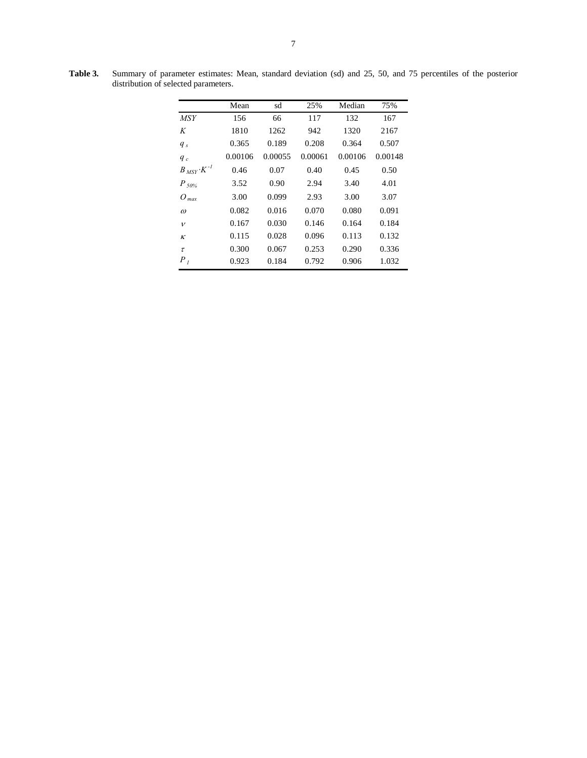|                        | Mean    | sd      | 25%     | Median  | 75%     |
|------------------------|---------|---------|---------|---------|---------|
| <b>MSY</b>             | 156     | 66      | 117     | 132     | 167     |
| K                      | 1810    | 1262    | 942     | 1320    | 2167    |
| $q_s$                  | 0.365   | 0.189   | 0.208   | 0.364   | 0.507   |
| $q_c$                  | 0.00106 | 0.00055 | 0.00061 | 0.00106 | 0.00148 |
| $B_{MSY} \cdot K^{-1}$ | 0.46    | 0.07    | 0.40    | 0.45    | 0.50    |
| $P_{50\%}$             | 3.52    | 0.90    | 2.94    | 3.40    | 4.01    |
| $O_{max}$              | 3.00    | 0.099   | 2.93    | 3.00    | 3.07    |
| $\omega$               | 0.082   | 0.016   | 0.070   | 0.080   | 0.091   |
| $\mathcal{V}$          | 0.167   | 0.030   | 0.146   | 0.164   | 0.184   |
| $\kappa$               | 0.115   | 0.028   | 0.096   | 0.113   | 0.132   |
| $\tau$                 | 0.300   | 0.067   | 0.253   | 0.290   | 0.336   |
| $P_I$                  | 0.923   | 0.184   | 0.792   | 0.906   | 1.032   |

**Table 3.** Summary of parameter estimates: Mean, standard deviation (sd) and 25, 50, and 75 percentiles of the posterior distribution of selected parameters.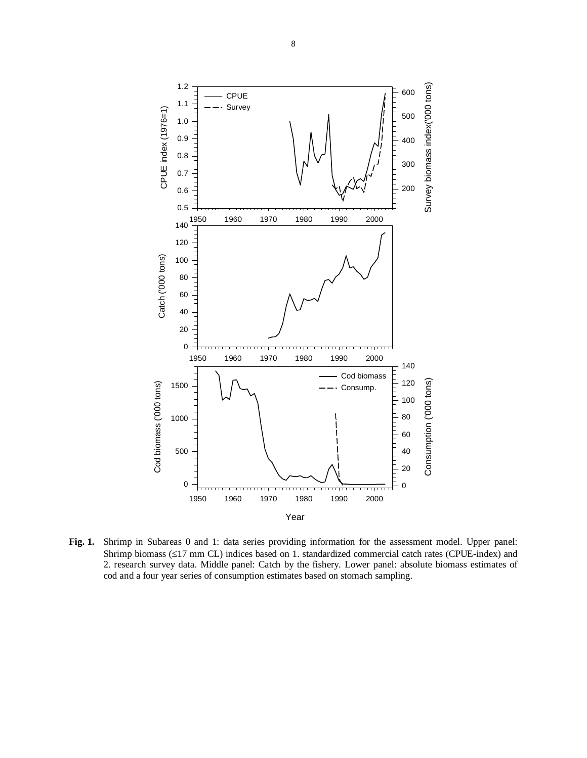

**Fig. 1.** Shrimp in Subareas 0 and 1: data series providing information for the assessment model. Upper panel: Shrimp biomass (≤17 mm CL) indices based on 1. standardized commercial catch rates (CPUE-index) and 2. research survey data. Middle panel: Catch by the fishery. Lower panel: absolute biomass estimates of cod and a four year series of consumption estimates based on stomach sampling.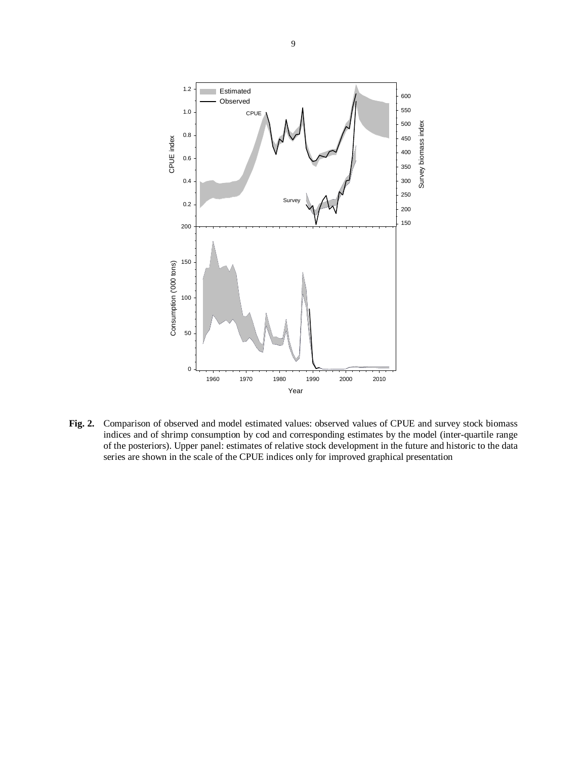

**Fig. 2.** Comparison of observed and model estimated values: observed values of CPUE and survey stock biomass indices and of shrimp consumption by cod and corresponding estimates by the model (inter-quartile range of the posteriors). Upper panel: estimates of relative stock development in the future and historic to the data series are shown in the scale of the CPUE indices only for improved graphical presentation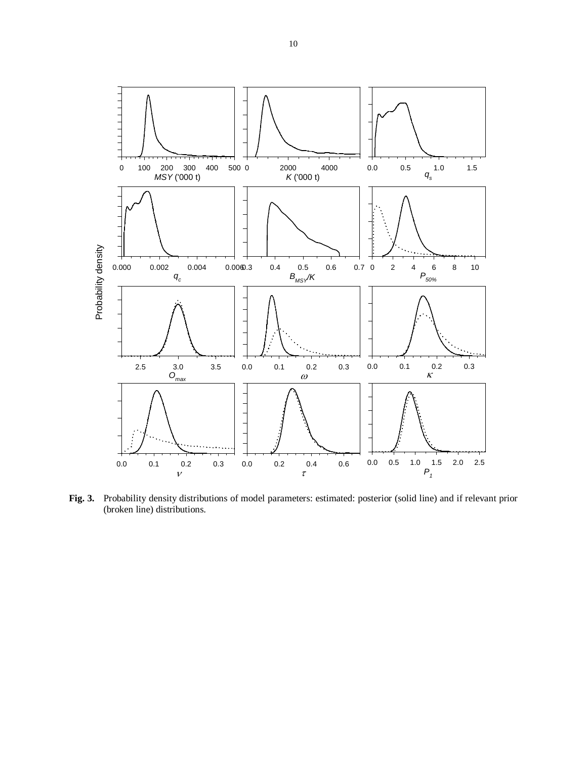

**Fig. 3.** Probability density distributions of model parameters: estimated: posterior (solid line) and if relevant prior (broken line) distributions.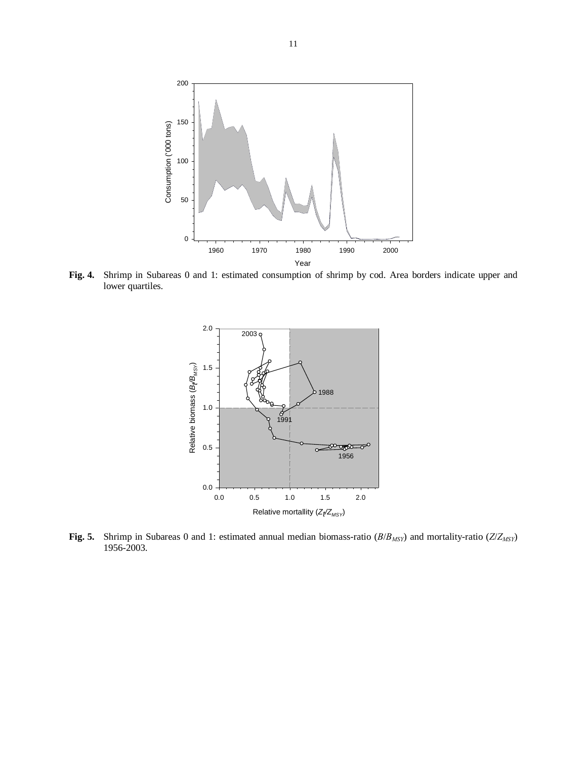

**Fig. 4.** Shrimp in Subareas 0 and 1: estimated consumption of shrimp by cod. Area borders indicate upper and lower quartiles.



**Fig. 5.** Shrimp in Subareas 0 and 1: estimated annual median biomass-ratio (*B*/*BMSY*) and mortality-ratio (*Z*/*ZMSY*) 1956-2003.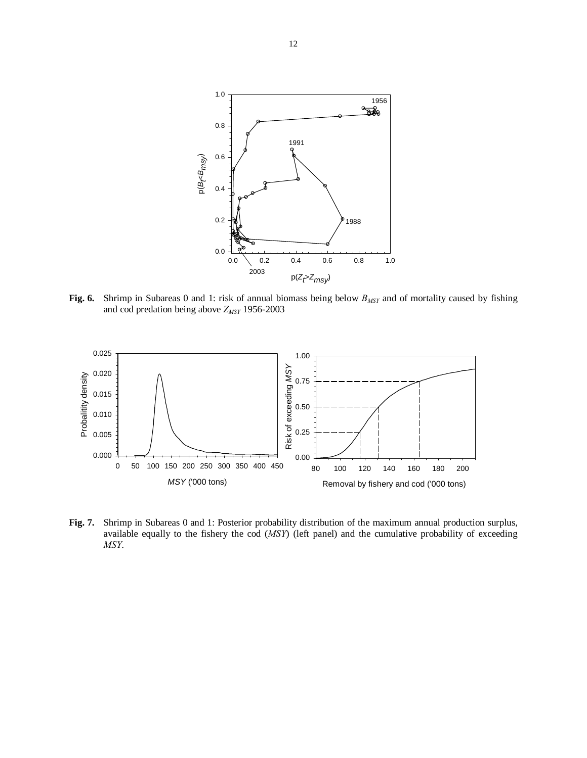

Fig. 6. Shrimp in Subareas 0 and 1: risk of annual biomass being below  $B_{MSY}$  and of mortality caused by fishing and cod predation being above  $Z_{MSY}$  1956-2003



**Fig. 7.** Shrimp in Subareas 0 and 1: Posterior probability distribution of the maximum annual production surplus, available equally to the fishery the cod (*MSY*) (left panel) and the cumulative probability of exceeding *MSY*.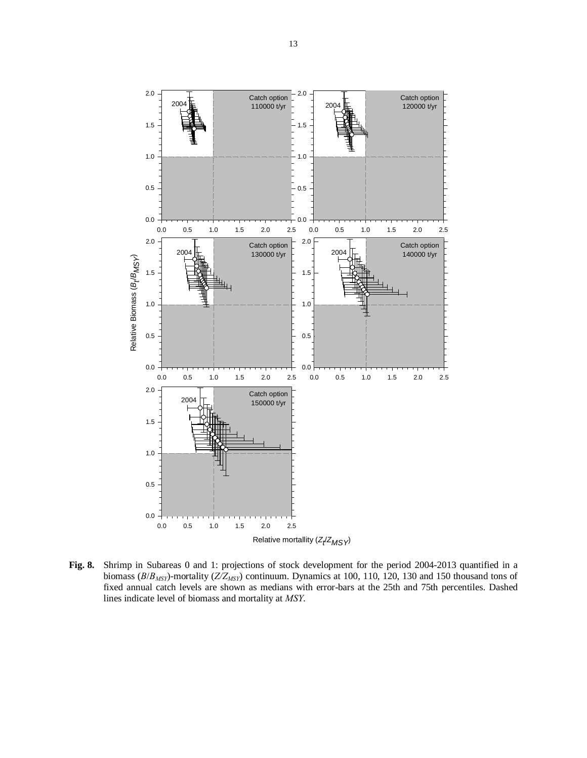

**Fig. 8.** Shrimp in Subareas 0 and 1: projections of stock development for the period 2004-2013 quantified in a biomass (*B*/*B<sub>MSY</sub>*)-mortality (*Z*/*Z<sub>MSY</sub>*) continuum. Dynamics at 100, 110, 120, 130 and 150 thousand tons of fixed annual catch levels are shown as medians with error-bars at the 25th and 75th percentiles. Dashed lines indicate level of biomass and mortality at *MSY*.